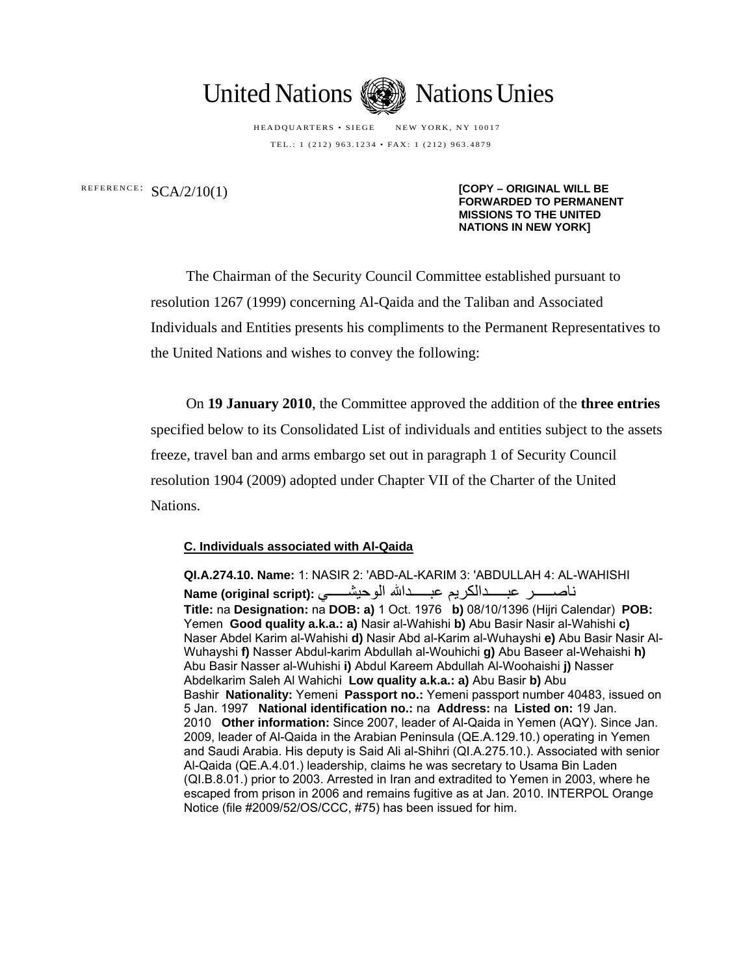

HEADQUARTERS • SIEGE NEW YORK, NY 10017 TEL.: 1 (212) 963.1234 • FAX: 1 (212) 963.4879

REFERENCE: SCA/2/10(1) **[COPY – ORIGINAL WILL BE FORWARDED TO PERMANENT MISSIONS TO THE UNITED NATIONS IN NEW YORK]**

> The Chairman of the Security Council Committee established pursuant to resolution 1267 (1999) concerning Al-Qaida and the Taliban and Associated Individuals and Entities presents his compliments to the Permanent Representatives to the United Nations and wishes to convey the following:

> On **19 January 2010**, the Committee approved the addition of the **three entries**  specified below to its Consolidated List of individuals and entities subject to the assets freeze, travel ban and arms embargo set out in paragraph 1 of Security Council resolution 1904 (2009) adopted under Chapter VII of the Charter of the United Nations.

## **C. Individuals associated with Al-Qaida**

**QI.A.274.10. Name:** 1: NASIR 2: 'ABD-AL-KARIM 3: 'ABDULLAH 4: AL-WAHISHI ناصسسر عبسدالكريم عبسدالله الوحيشسهي :Name (original script) **Title:** na **Designation:** na **DOB: a)** 1 Oct. 1976 **b)** 08/10/1396 (Hijri Calendar) **POB:**  Yemen **Good quality a.k.a.: a)** Nasir al-Wahishi **b)** Abu Basir Nasir al-Wahishi **c)** Naser Abdel Karim al-Wahishi **d)** Nasir Abd al-Karim al-Wuhayshi **e)** Abu Basir Nasir Al-Wuhayshi **f)** Nasser Abdul-karim Abdullah al-Wouhichi **g)** Abu Baseer al-Wehaishi **h)** Abu Basir Nasser al-Wuhishi **i)** Abdul Kareem Abdullah Al-Woohaishi **j)** Nasser Abdelkarim Saleh Al Wahichi **Low quality a.k.a.: a)** Abu Basir **b)** Abu Bashir **Nationality:** Yemeni **Passport no.:** Yemeni passport number 40483, issued on 5 Jan. 1997 **National identification no.:** na **Address:** na **Listed on:** 19 Jan. 2010 **Other information:** Since 2007, leader of Al-Qaida in Yemen (AQY). Since Jan. 2009, leader of Al-Qaida in the Arabian Peninsula (QE.A.129.10.) operating in Yemen and Saudi Arabia. His deputy is Said Ali al-Shihri (QI.A.275.10.). Associated with senior Al-Qaida (QE.A.4.01.) leadership, claims he was secretary to Usama Bin Laden (QI.B.8.01.) prior to 2003. Arrested in Iran and extradited to Yemen in 2003, where he escaped from prison in 2006 and remains fugitive as at Jan. 2010. INTERPOL Orange Notice (file #2009/52/OS/CCC, #75) has been issued for him.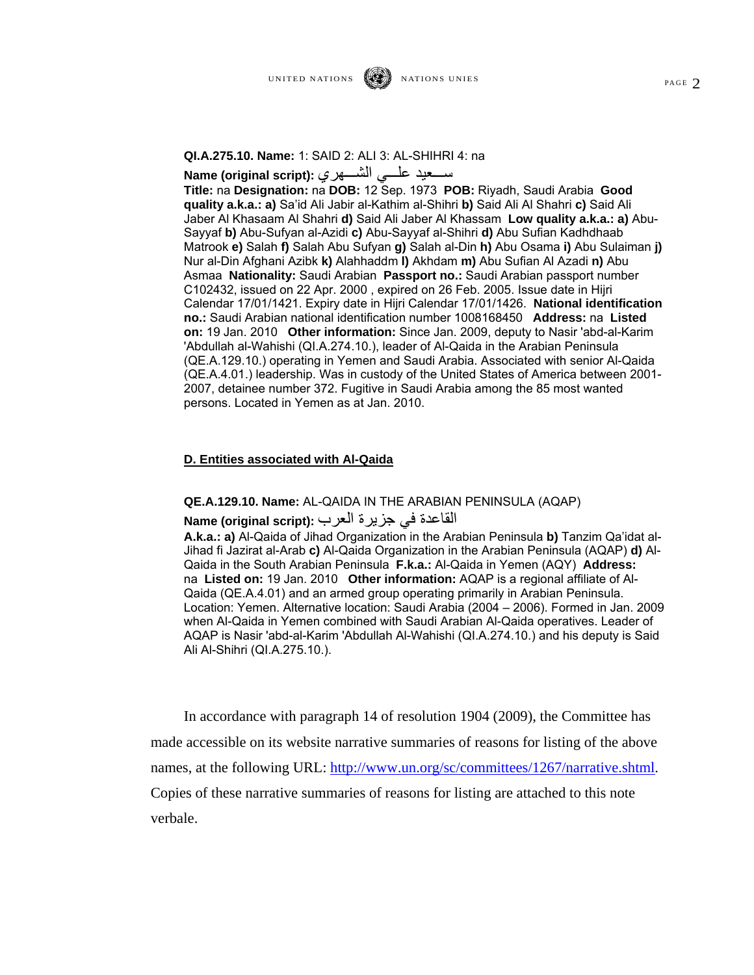سمعيد علسي الشسهري **:(Name (original script** 

**Title:** na **Designation:** na **DOB:** 12 Sep. 1973 **POB:** Riyadh, Saudi Arabia **Good quality a.k.a.: a)** Sa'id Ali Jabir al-Kathim al-Shihri **b)** Said Ali Al Shahri **c)** Said Ali Jaber Al Khasaam Al Shahri **d)** Said Ali Jaber Al Khassam **Low quality a.k.a.: a)** Abu-Sayyaf **b)** Abu-Sufyan al-Azidi **c)** Abu-Sayyaf al-Shihri **d)** Abu Sufian Kadhdhaab Matrook **e)** Salah **f)** Salah Abu Sufyan **g)** Salah al-Din **h)** Abu Osama **i)** Abu Sulaiman **j)** Nur al-Din Afghani Azibk **k)** Alahhaddm **l)** Akhdam **m)** Abu Sufian Al Azadi **n)** Abu Asmaa **Nationality:** Saudi Arabian **Passport no.:** Saudi Arabian passport number C102432, issued on 22 Apr. 2000 , expired on 26 Feb. 2005. Issue date in Hijri Calendar 17/01/1421. Expiry date in Hijri Calendar 17/01/1426. **National identification no.:** Saudi Arabian national identification number 1008168450 **Address:** na **Listed on:** 19 Jan. 2010 **Other information:** Since Jan. 2009, deputy to Nasir 'abd-al-Karim 'Abdullah al-Wahishi (QI.A.274.10.), leader of Al-Qaida in the Arabian Peninsula (QE.A.129.10.) operating in Yemen and Saudi Arabia. Associated with senior Al-Qaida (QE.A.4.01.) leadership. Was in custody of the United States of America between 2001- 2007, detainee number 372. Fugitive in Saudi Arabia among the 85 most wanted persons. Located in Yemen as at Jan. 2010.

## **D. Entities associated with Al-Qaida**

**QE.A.129.10. Name:** AL-QAIDA IN THE ARABIAN PENINSULA (AQAP)

## القاعدة في جزيرة العرب **:(script original (Name**

**A.k.a.: a)** Al-Qaida of Jihad Organization in the Arabian Peninsula **b)** Tanzim Qa'idat al-Jihad fi Jazirat al-Arab **c)** Al-Qaida Organization in the Arabian Peninsula (AQAP) **d)** Al-Qaida in the South Arabian Peninsula **F.k.a.:** Al-Qaida in Yemen (AQY) **Address:**  na **Listed on:** 19 Jan. 2010 **Other information:** AQAP is a regional affiliate of Al-Qaida (QE.A.4.01) and an armed group operating primarily in Arabian Peninsula. Location: Yemen. Alternative location: Saudi Arabia (2004 – 2006). Formed in Jan. 2009 when Al-Qaida in Yemen combined with Saudi Arabian Al-Qaida operatives. Leader of AQAP is Nasir 'abd-al-Karim 'Abdullah Al-Wahishi (QI.A.274.10.) and his deputy is Said Ali Al-Shihri (QI.A.275.10.).

In accordance with paragraph 14 of resolution 1904 (2009), the Committee has made accessible on its website narrative summaries of reasons for listing of the above names, at the following URL: http://www.un.org/sc/committees/1267/narrative.shtml. Copies of these narrative summaries of reasons for listing are attached to this note verbale.